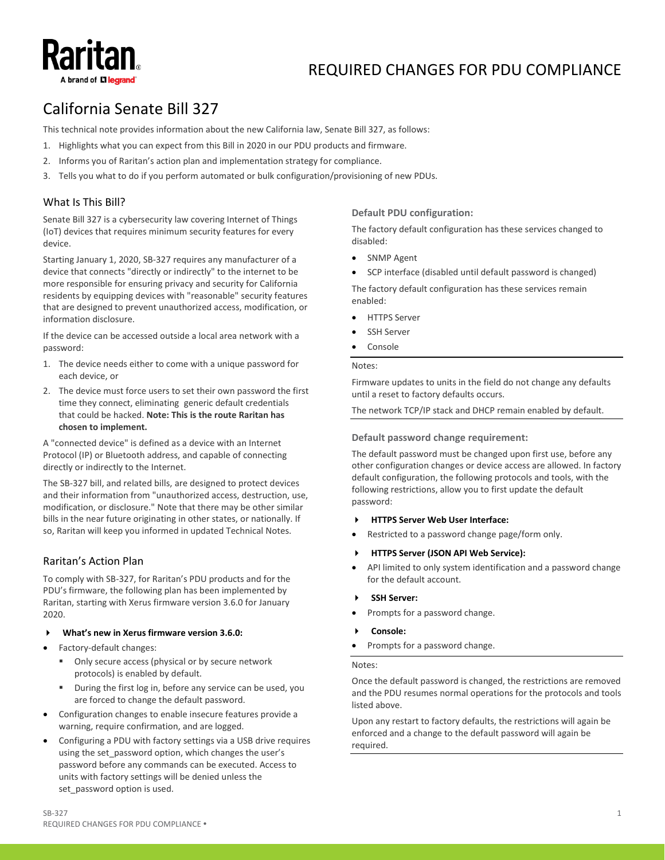# A brand of **い legrar**

# REQUIRED CHANGES FOR PDU COMPLIANCE

# California Senate Bill 327

This technical note provides information about the new California law, Senate Bill 327, as follows:

- 1. Highlights what you can expect from this Bill in 2020 in our PDU products and firmware.
- 2. Informs you of Raritan's action plan and implementation strategy for compliance.
- 3. Tells you what to do if you perform automated or bulk configuration/provisioning of new PDUs.

# What Is This Bill?

Senate Bill 327 is a cybersecurity law covering Internet of Things (IoT) devices that requires minimum security features for every device.

Starting January 1, 2020, SB-327 requires any manufacturer of a device that connects "directly or indirectly" to the internet to be more responsible for ensuring privacy and security for California residents by equipping devices with "reasonable" security features that are designed to prevent unauthorized access, modification, or information disclosure.

If the device can be accessed outside a local area network with a password:

- 1. The device needs either to come with a unique password for each device, or
- 2. The device must force users to set their own password the first time they connect, eliminating generic default credentials that could be hacked. **Note: This is the route Raritan has chosen to implement.**

A "connected device" is defined as a device with an Internet Protocol (IP) or Bluetooth address, and capable of connecting directly or indirectly to the Internet.

The SB-327 bill, and related bills, are designed to protect devices and their information from "unauthorized access, destruction, use, modification, or disclosure." Note that there may be other similar bills in the near future originating in other states, or nationally. If so, Raritan will keep you informed in updated Technical Notes.

## Raritan's Action Plan

To comply with SB-327, for Raritan's PDU products and for the PDU's firmware, the following plan has been implemented by Raritan, starting with Xerus firmware version 3.6.0 for January 2020.

- **What's new in Xerus firmware version 3.6.0:**
- Factory-default changes:
	- **Only secure access (physical or by secure network** protocols) is enabled by default.
	- During the first log in, before any service can be used, you are forced to change the default password.
- Configuration changes to enable insecure features provide a warning, require confirmation, and are logged.
- Configuring a PDU with factory settings via a USB drive requires using the set password option, which changes the user's password before any commands can be executed. Access to units with factory settings will be denied unless the set\_password option is used.

## **Default PDU configuration:**

The factory default configuration has these services changed to disabled:

- **SNMP Agent**
- SCP interface (disabled until default password is changed)

The factory default configuration has these services remain enabled:

- HTTPS Server
- **SSH Server**
- **Console**

#### Notes:

Firmware updates to units in the field do not change any defaults until a reset to factory defaults occurs.

The network TCP/IP stack and DHCP remain enabled by default.

#### **Default password change requirement:**

The default password must be changed upon first use, before any other configuration changes or device access are allowed. In factory default configuration, the following protocols and tools, with the following restrictions, allow you to first update the default password:

### **HTTPS Server Web User Interface:**

Restricted to a password change page/form only.

#### **HTTPS Server (JSON API Web Service):**

- API limited to only system identification and a password change for the default account.
- **SSH Server:**
- Prompts for a password change.
- **Console:**
- Prompts for a password change.

#### Notes:

Once the default password is changed, the restrictions are removed and the PDU resumes normal operations for the protocols and tools listed above.

Upon any restart to factory defaults, the restrictions will again be enforced and a change to the default password will again be required.